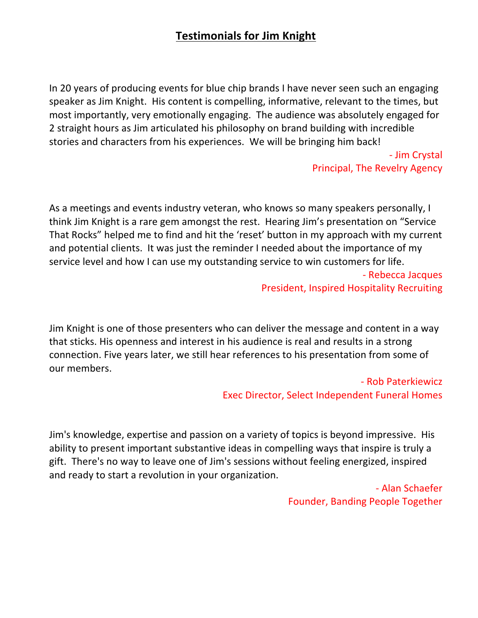## **Testimonials for Jim Knight**

In 20 years of producing events for blue chip brands I have never seen such an engaging speaker as Jim Knight. His content is compelling, informative, relevant to the times, but most importantly, very emotionally engaging. The audience was absolutely engaged for 2 straight hours as Jim articulated his philosophy on brand building with incredible stories and characters from his experiences. We will be bringing him back!

> - Jim Crystal Principal, The Revelry Agency

As a meetings and events industry veteran, who knows so many speakers personally, I think Jim Knight is a rare gem amongst the rest. Hearing Jim's presentation on "Service That Rocks" helped me to find and hit the 'reset' button in my approach with my current and potential clients. It was just the reminder I needed about the importance of my service level and how I can use my outstanding service to win customers for life. - Rebecca Jacques

President, Inspired Hospitality Recruiting

Jim Knight is one of those presenters who can deliver the message and content in a way that sticks. His openness and interest in his audience is real and results in a strong connection. Five years later, we still hear references to his presentation from some of our members.

## - Rob Paterkiewicz Exec Director, Select Independent Funeral Homes

Jim's knowledge, expertise and passion on a variety of topics is beyond impressive. His ability to present important substantive ideas in compelling ways that inspire is truly a gift. There's no way to leave one of Jim's sessions without feeling energized, inspired and ready to start a revolution in your organization.

> - Alan Schaefer Founder, Banding People Together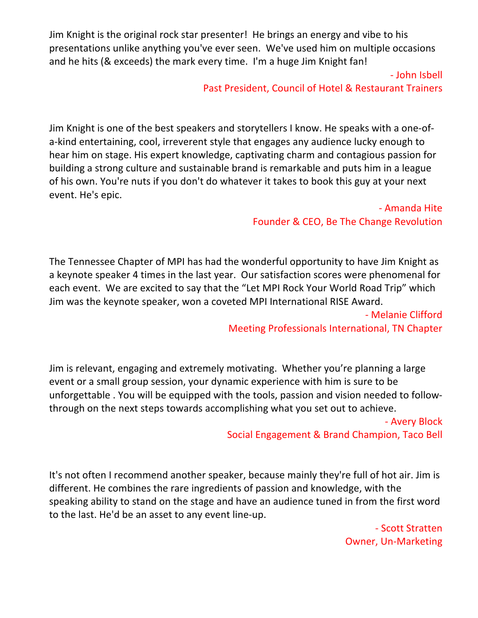Jim Knight is the original rock star presenter! He brings an energy and vibe to his presentations unlike anything you've ever seen. We've used him on multiple occasions and he hits (& exceeds) the mark every time. I'm a huge Jim Knight fan!

> - John Isbell Past President, Council of Hotel & Restaurant Trainers

Jim Knight is one of the best speakers and storytellers I know. He speaks with a one-ofa-kind entertaining, cool, irreverent style that engages any audience lucky enough to hear him on stage. His expert knowledge, captivating charm and contagious passion for building a strong culture and sustainable brand is remarkable and puts him in a league of his own. You're nuts if you don't do whatever it takes to book this guy at your next event. He's epic.

> - Amanda Hite Founder & CEO, Be The Change Revolution

The Tennessee Chapter of MPI has had the wonderful opportunity to have Jim Knight as a keynote speaker 4 times in the last year. Our satisfaction scores were phenomenal for each event. We are excited to say that the "Let MPI Rock Your World Road Trip" which Jim was the keynote speaker, won a coveted MPI International RISE Award.

> - Melanie Clifford Meeting Professionals International, TN Chapter

Jim is relevant, engaging and extremely motivating. Whether you're planning a large event or a small group session, your dynamic experience with him is sure to be unforgettable . You will be equipped with the tools, passion and vision needed to followthrough on the next steps towards accomplishing what you set out to achieve.

> - Avery Block Social Engagement & Brand Champion, Taco Bell

It's not often I recommend another speaker, because mainly they're full of hot air. Jim is different. He combines the rare ingredients of passion and knowledge, with the speaking ability to stand on the stage and have an audience tuned in from the first word to the last. He'd be an asset to any event line-up.

> - Scott Stratten Owner, Un-Marketing